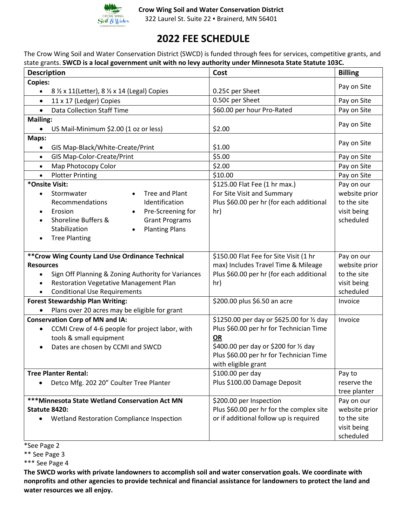

322 Laurel St. Suite 22 ▪ Brainerd, MN 56401

#### **2022 FEE SCHEDULE**

The Crow Wing Soil and Water Conservation District (SWCD) is funded through fees for services, competitive grants, and state grants. **SWCD is a local government unit with no levy authority under Minnesota State Statute 103C.** 

| <b>Description</b>                                              | Cost                                      | <b>Billing</b> |
|-----------------------------------------------------------------|-------------------------------------------|----------------|
| <b>Copies:</b>                                                  |                                           |                |
| 8 1/2 x 11(Letter), 8 1/2 x 14 (Legal) Copies<br>$\bullet$      | 0.25¢ per Sheet                           | Pay on Site    |
| 11 x 17 (Ledger) Copies<br>$\bullet$                            | 0.50¢ per Sheet                           | Pay on Site    |
| <b>Data Collection Staff Time</b><br>$\bullet$                  | \$60.00 per hour Pro-Rated                | Pay on Site    |
| <b>Mailing:</b>                                                 |                                           |                |
| US Mail-Minimum \$2.00 (1 oz or less)<br>$\bullet$              | \$2.00                                    | Pay on Site    |
| Maps:                                                           |                                           |                |
| GIS Map-Black/White-Create/Print<br>$\bullet$                   | \$1.00                                    | Pay on Site    |
| GIS Map-Color-Create/Print<br>$\bullet$                         | \$5.00                                    | Pay on Site    |
| Map Photocopy Color<br>$\bullet$                                | \$2.00                                    | Pay on Site    |
| <b>Plotter Printing</b><br>$\bullet$                            | \$10.00                                   | Pay on Site    |
| *Onsite Visit:                                                  | \$125.00 Flat Fee (1 hr max.)             | Pay on our     |
| Tree and Plant<br>Stormwater<br>$\bullet$                       | For Site Visit and Summary                | website prior  |
| Identification<br>Recommendations                               | Plus \$60.00 per hr (for each additional  | to the site    |
| Erosion<br>Pre-Screening for<br>$\bullet$                       | hr)                                       | visit being    |
| Shoreline Buffers &<br><b>Grant Programs</b>                    |                                           | scheduled      |
| <b>Planting Plans</b><br>Stabilization                          |                                           |                |
| <b>Tree Planting</b><br>$\bullet$                               |                                           |                |
| ** Crow Wing County Land Use Ordinance Technical                | \$150.00 Flat Fee for Site Visit (1 hr    | Pay on our     |
| <b>Resources</b>                                                | max) Includes Travel Time & Mileage       | website prior  |
| Sign Off Planning & Zoning Authority for Variances<br>$\bullet$ | Plus \$60.00 per hr (for each additional  | to the site    |
| <b>Restoration Vegetative Management Plan</b><br>$\bullet$      | hr)                                       | visit being    |
| <b>Conditional Use Requirements</b>                             |                                           | scheduled      |
| <b>Forest Stewardship Plan Writing:</b>                         | \$200.00 plus \$6.50 an acre              | Invoice        |
| Plans over 20 acres may be eligible for grant<br>$\bullet$      |                                           |                |
| <b>Conservation Corp of MN and IA:</b>                          | \$1250.00 per day or \$625.00 for 1/2 day | Invoice        |
| CCMI Crew of 4-6 people for project labor, with<br>$\bullet$    | Plus \$60.00 per hr for Technician Time   |                |
| tools & small equipment                                         | <b>OR</b>                                 |                |
| Dates are chosen by CCMI and SWCD<br>$\bullet$                  | \$400.00 per day or \$200 for 1/2 day     |                |
|                                                                 | Plus \$60.00 per hr for Technician Time   |                |
|                                                                 | with eligible grant                       |                |
| <b>Tree Planter Rental:</b>                                     | \$100.00 per day                          | Pay to         |
| Detco Mfg. 202 20" Coulter Tree Planter<br>$\bullet$            | Plus \$100.00 Damage Deposit              | reserve the    |
|                                                                 |                                           | tree planter   |
| ***Minnesota State Wetland Conservation Act MN                  | \$200.00 per Inspection                   | Pay on our     |
| Statute 8420:                                                   | Plus \$60.00 per hr for the complex site  | website prior  |
| Wetland Restoration Compliance Inspection<br>$\bullet$          | or if additional follow up is required    | to the site    |
|                                                                 |                                           | visit being    |
|                                                                 |                                           | scheduled      |

\*See Page 2

\*\* See Page 3

**The SWCD works with private landowners to accomplish soil and water conservation goals. We coordinate with nonprofits and other agencies to provide technical and financial assistance for landowners to protect the land and water resources we all enjoy.**

<sup>\*\*\*</sup> See Page 4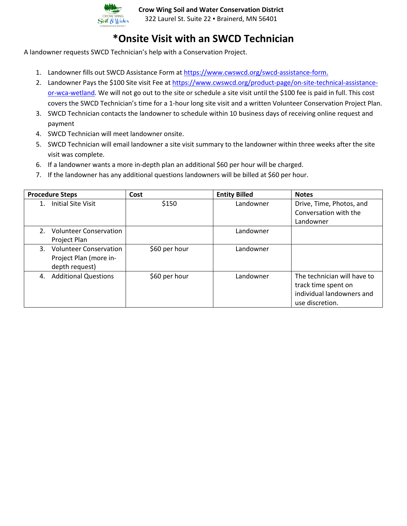

## **\*Onsite Visit with an SWCD Technician**

A landowner requests SWCD Technician's help with a Conservation Project.

- 1. Landowner fills out SWCD Assistance Form at https://www.cwswcd.org/swcd-assistance-form.
- 2. Landowner Pays the \$100 Site visit Fee at [https://www.cwswcd.org/product-page/on-site-technical-assistance](https://www.cwswcd.org/product-page/on-site-technical-assistance-or-wca-wetland)[or-wca-wetland.](https://www.cwswcd.org/product-page/on-site-technical-assistance-or-wca-wetland) We will not go out to the site or schedule a site visit until the \$100 fee is paid in full. This cost covers the SWCD Technician's time for a 1-hour long site visit and a written Volunteer Conservation Project Plan.
- 3. SWCD Technician contacts the landowner to schedule within 10 business days of receiving online request and payment
- 4. SWCD Technician will meet landowner onsite.
- 5. SWCD Technician will email landowner a site visit summary to the landowner within three weeks after the site visit was complete.
- 6. If a landowner wants a more in-depth plan an additional \$60 per hour will be charged.
- 7. If the landowner has any additional questions landowners will be billed at \$60 per hour.

|    | <b>Procedure Steps</b>                                                | Cost          | <b>Entity Billed</b> | <b>Notes</b>                                                                                       |
|----|-----------------------------------------------------------------------|---------------|----------------------|----------------------------------------------------------------------------------------------------|
| 1. | Initial Site Visit                                                    | \$150         | Landowner            | Drive, Time, Photos, and<br>Conversation with the<br>Landowner                                     |
|    | 2. Volunteer Conservation<br>Project Plan                             |               | Landowner            |                                                                                                    |
|    | 3. Volunteer Conservation<br>Project Plan (more in-<br>depth request) | \$60 per hour | Landowner            |                                                                                                    |
| 4. | <b>Additional Questions</b>                                           | \$60 per hour | Landowner            | The technician will have to<br>track time spent on<br>individual landowners and<br>use discretion. |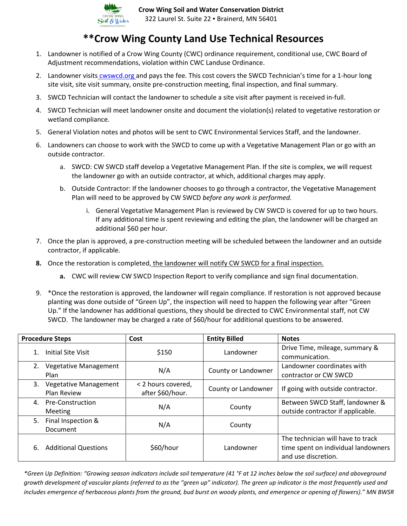

## **\*\*Crow Wing County Land Use Technical Resources**

- 1. Landowner is notified of a Crow Wing County (CWC) ordinance requirement, conditional use, CWC Board of Adjustment recommendations, violation within CWC Landuse Ordinance.
- 2. Landowner visits [cwswcd.org](https://www.cwswcd.org/product-page/on-site-technical-assistance-or-wca-wetland) and pays the fee. This cost covers the SWCD Technician's time for a 1-hour long site visit, site visit summary, onsite pre-construction meeting, final inspection, and final summary.
- 3. SWCD Technician will contact the landowner to schedule a site visit after payment is received in-full.
- 4. SWCD Technician will meet landowner onsite and document the violation(s) related to vegetative restoration or wetland compliance.
- 5. General Violation notes and photos will be sent to CWC Environmental Services Staff, and the landowner.
- 6. Landowners can choose to work with the SWCD to come up with a Vegetative Management Plan or go with an outside contractor.
	- a. SWCD: CW SWCD staff develop a Vegetative Management Plan. If the site is complex, we will request the landowner go with an outside contractor, at which, additional charges may apply.
	- b. Outside Contractor: If the landowner chooses to go through a contractor, the Vegetative Management Plan will need to be approved by CW SWCD *before any work is performed.*
		- i. General Vegetative Management Plan is reviewed by CW SWCD is covered for up to two hours. If any additional time is spent reviewing and editing the plan, the landowner will be charged an additional \$60 per hour.
- 7. Once the plan is approved, a pre-construction meeting will be scheduled between the landowner and an outside contractor, if applicable.
- **8.** Once the restoration is completed, the landowner will notify CW SWCD for a final inspection.
	- **a.** CWC will review CW SWCD Inspection Report to verify compliance and sign final documentation.
- 9. \*Once the restoration is approved, the landowner will regain compliance. If restoration is not approved because planting was done outside of "Green Up", the inspection will need to happen the following year after "Green Up." If the landowner has additional questions, they should be directed to CWC Environmental staff, not CW SWCD. The landowner may be charged a rate of \$60/hour for additional questions to be answered.

|    | <b>Procedure Steps</b>                      | Cost                                   | <b>Entity Billed</b> | <b>Notes</b>                                                                                    |
|----|---------------------------------------------|----------------------------------------|----------------------|-------------------------------------------------------------------------------------------------|
|    | Initial Site Visit                          | \$150                                  | Landowner            | Drive Time, mileage, summary &<br>communication.                                                |
| 2. | <b>Vegetative Management</b><br>Plan        | N/A                                    | County or Landowner  | Landowner coordinates with<br>contractor or CW SWCD                                             |
| 3. | <b>Vegetative Management</b><br>Plan Review | < 2 hours covered,<br>after \$60/hour. | County or Landowner  | If going with outside contractor.                                                               |
| 4. | <b>Pre-Construction</b><br>Meeting          | N/A                                    | County               | Between SWCD Staff, landowner &<br>outside contractor if applicable.                            |
| 5. | Final Inspection &<br>Document              | N/A                                    | County               |                                                                                                 |
| 6. | <b>Additional Questions</b>                 | \$60/hour                              | Landowner            | The technician will have to track<br>time spent on individual landowners<br>and use discretion. |

*\*Green Up Definition: "Growing season indicators include soil temperature (41 °F at 12 inches below the soil surface) and aboveground growth development of vascular plants (referred to as the "green up" indicator). The green up indicator is the most frequently used and includes emergence of herbaceous plants from the ground, bud burst on woody plants, and emergence or opening of flowers)." MN BWSR*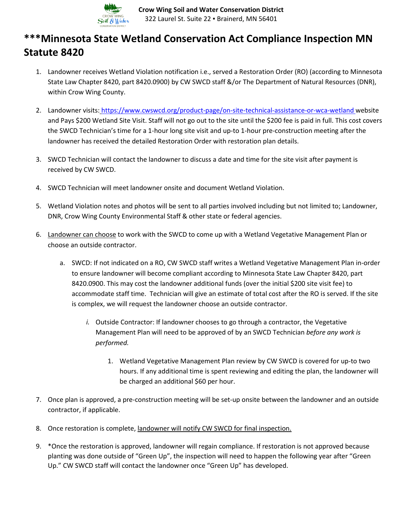

# **\*\*\*Minnesota State Wetland Conservation Act Compliance Inspection MN Statute 8420**

- 1. Landowner receives Wetland Violation notification i.e., served a Restoration Order (RO) (according to Minnesota State Law Chapter 8420, part 8420.0900) by CW SWCD staff &/or The Department of Natural Resources (DNR), within Crow Wing County.
- 2. Landowner visits: <https://www.cwswcd.org/product-page/on-site-technical-assistance-or-wca-wetland> website and Pays \$200 Wetland Site Visit. Staff will not go out to the site until the \$200 fee is paid in full. This cost covers the SWCD Technician's time for a 1-hour long site visit and up-to 1-hour pre-construction meeting after the landowner has received the detailed Restoration Order with restoration plan details.
- 3. SWCD Technician will contact the landowner to discuss a date and time for the site visit after payment is received by CW SWCD.
- 4. SWCD Technician will meet landowner onsite and document Wetland Violation.
- 5. Wetland Violation notes and photos will be sent to all parties involved including but not limited to; Landowner, DNR, Crow Wing County Environmental Staff & other state or federal agencies.
- 6. Landowner can choose to work with the SWCD to come up with a Wetland Vegetative Management Plan or choose an outside contractor.
	- a. SWCD: If not indicated on a RO, CW SWCD staff writes a Wetland Vegetative Management Plan in-order to ensure landowner will become compliant according to Minnesota State Law Chapter 8420, part 8420.0900. This may cost the landowner additional funds (over the initial \$200 site visit fee) to accommodate staff time. Technician will give an estimate of total cost after the RO is served. If the site is complex, we will request the landowner choose an outside contractor.
		- *i.* Outside Contractor: If landowner chooses to go through a contractor, the Vegetative Management Plan will need to be approved of by an SWCD Technician *before any work is performed.*
			- 1. Wetland Vegetative Management Plan review by CW SWCD is covered for up-to two hours. If any additional time is spent reviewing and editing the plan, the landowner will be charged an additional \$60 per hour.
- 7. Once plan is approved, a pre-construction meeting will be set-up onsite between the landowner and an outside contractor, if applicable.
- 8. Once restoration is complete, landowner will notify CW SWCD for final inspection.
- 9. \*Once the restoration is approved, landowner will regain compliance. If restoration is not approved because planting was done outside of "Green Up", the inspection will need to happen the following year after "Green Up." CW SWCD staff will contact the landowner once "Green Up" has developed.